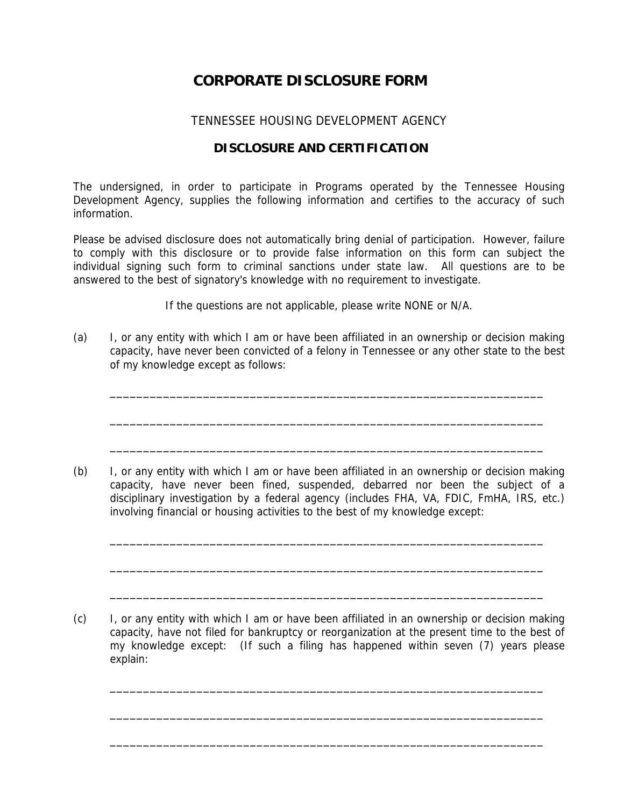## **CORPORATE DISCLOSURE FORM**

## TENNESSEE HOUSING DEVELOPMENT AGENCY

## **DISCLOSURE AND CERTIFICATION**

The undersigned, in order to participate in Programs operated by the Tennessee Housing Development Agency, supplies the following information and certifies to the accuracy of such information.

Please be advised disclosure does not automatically bring denial of participation. However, failure to comply with this disclosure or to provide false information on this form can subject the individual signing such form to criminal sanctions under state law. All questions are to be answered to the best of signatory's knowledge with no requirement to investigate.

If the questions are not applicable, please write NONE or N/A.

(a) I, or any entity with which I am or have been affiliated in an ownership or decision making capacity, have never been convicted of a felony in Tennessee or any other state to the best of my knowledge except as follows:

\_\_\_\_\_\_\_\_\_\_\_\_\_\_\_\_\_\_\_\_\_\_\_\_\_\_\_\_\_\_\_\_\_\_\_\_\_\_\_\_\_\_\_\_\_\_\_\_\_\_\_\_\_\_\_\_\_\_\_\_\_\_\_\_\_

\_\_\_\_\_\_\_\_\_\_\_\_\_\_\_\_\_\_\_\_\_\_\_\_\_\_\_\_\_\_\_\_\_\_\_\_\_\_\_\_\_\_\_\_\_\_\_\_\_\_\_\_\_\_\_\_\_\_\_\_\_\_\_\_\_

\_\_\_\_\_\_\_\_\_\_\_\_\_\_\_\_\_\_\_\_\_\_\_\_\_\_\_\_\_\_\_\_\_\_\_\_\_\_\_\_\_\_\_\_\_\_\_\_\_\_\_\_\_\_\_\_\_\_\_\_\_\_\_\_\_

(b) I, or any entity with which I am or have been affiliated in an ownership or decision making capacity, have never been fined, suspended, debarred nor been the subject of a disciplinary investigation by a federal agency (includes FHA, VA, FDIC, FmHA, IRS, etc.) involving financial or housing activities to the best of my knowledge except:

\_\_\_\_\_\_\_\_\_\_\_\_\_\_\_\_\_\_\_\_\_\_\_\_\_\_\_\_\_\_\_\_\_\_\_\_\_\_\_\_\_\_\_\_\_\_\_\_\_\_\_\_\_\_\_\_\_\_\_\_\_\_\_\_\_

\_\_\_\_\_\_\_\_\_\_\_\_\_\_\_\_\_\_\_\_\_\_\_\_\_\_\_\_\_\_\_\_\_\_\_\_\_\_\_\_\_\_\_\_\_\_\_\_\_\_\_\_\_\_\_\_\_\_\_\_\_\_\_\_\_

\_\_\_\_\_\_\_\_\_\_\_\_\_\_\_\_\_\_\_\_\_\_\_\_\_\_\_\_\_\_\_\_\_\_\_\_\_\_\_\_\_\_\_\_\_\_\_\_\_\_\_\_\_\_\_\_\_\_\_\_\_\_\_\_\_

\_\_\_\_\_\_\_\_\_\_\_\_\_\_\_\_\_\_\_\_\_\_\_\_\_\_\_\_\_\_\_\_\_\_\_\_\_\_\_\_\_\_\_\_\_\_\_\_\_\_\_\_\_\_\_\_\_\_\_\_\_\_\_\_\_

\_\_\_\_\_\_\_\_\_\_\_\_\_\_\_\_\_\_\_\_\_\_\_\_\_\_\_\_\_\_\_\_\_\_\_\_\_\_\_\_\_\_\_\_\_\_\_\_\_\_\_\_\_\_\_\_\_\_\_\_\_\_\_\_\_

\_\_\_\_\_\_\_\_\_\_\_\_\_\_\_\_\_\_\_\_\_\_\_\_\_\_\_\_\_\_\_\_\_\_\_\_\_\_\_\_\_\_\_\_\_\_\_\_\_\_\_\_\_\_\_\_\_\_\_\_\_\_\_\_\_

<sup>(</sup>c) I, or any entity with which I am or have been affiliated in an ownership or decision making capacity, have not filed for bankruptcy or reorganization at the present time to the best of my knowledge except: (If such a filing has happened within seven (7) years please explain: